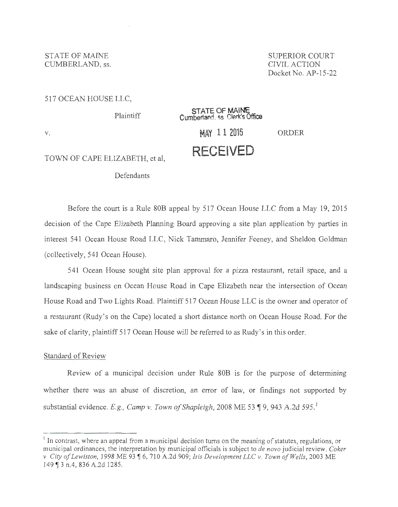STATE OF MAINE STATE OF MAINE CUMBERLAND, SS. CIVIL ACTION

Docket No. AP-15-22

#### 517 OCEAN HOUSE LLC,

| <b>Plaintiff</b>               | STATE OF MAINE<br>Cumberland, ss. Clerk's Office |       |
|--------------------------------|--------------------------------------------------|-------|
| V.                             | MAY 112016                                       | ORDER |
| TOWN OF CAPE ELIZABETH, et al, | <b>RECEIVED</b>                                  |       |

Defendants

Before the court is a Rule 808 appeal by 517 Ocean House LLC from a May 19, 2015 decision of the Cape Elizabeth Planning Board approving a site plan application by parties in interest 541 Ocean House Road LLC, Nick Tammaro, Jennifer Feeney, and Sheldon Goldman (collectively, 541 Ocean House).

541 Ocean House sought site plan approval for a pizza restaurant, retail space, and a landscaping business on Ocean House Road in Cape Elizabeth near the intersection of Ocean House Road and Two Lights Road. Plaintiff 517 Ocean House LLC is the owner and operator of a restaurant (Rudy's on the Cape) located a short distance north on Ocean House Road. For the sake of clarity, plaintiff 517 Ocean House will be referred to as Rudy's in this order.

## Standard of Review

Review of a municipal decision under Rule 808 is for the purpose of determining whether there was an abuse of discretion, an error of law, or findings not supported by substantial evidence. E.g., Camp v. Town of Shapleigh, 2008 ME 53 ¶ 9, 943 A.2d 595.<sup>1</sup>

<sup>&</sup>lt;sup>1</sup> In contrast, where an appeal from a municipal decision turns on the meaning of statutes, regulations, or municipal ordinances, the interpretation by municipal officials is subject to *de nova* judicial review . *Coker v. City ofLewiston,* 1998 ME 93 ~ 6, 710 A.2d 909; *Isis Development LLC v. Town of Wells,* 2003 ME 149 ¶ 3 n.4, 836 A.2d 1285.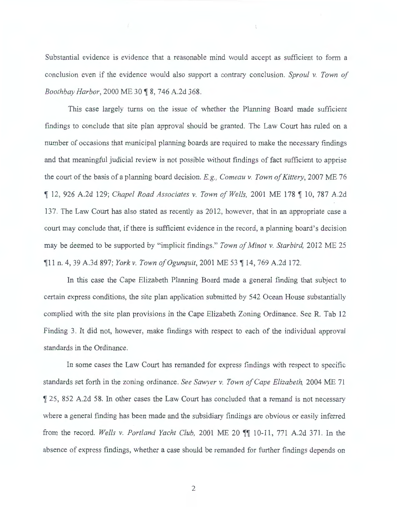Substantial evidence is evidence that a reasonable mind would accept as sufficient to form a conclusion even if the evidence would also support a contrary conclusion. *Sproul v. Town of*  Boothbay Harbor, 2000 ME 30 **18**, 746 A.2d 368.

This case largely turns on the issue of whether the Planning Board made sufficient findings to conclude that site plan approval should be granted. The Law Court has ruled on a number of occasions that municipal planning boards are required to make the necessary findings and that meaningful judicial review is not possible without findings of fact sufficient to apprise the court of the basis of a planning board decision. *E.g.*, *Comeau v. Town of Kittery*, 2007 ME 76 12, 926 A.2d 129; *Chapel Road Associates v. Town of Wells*, 2001 ME 178 1 10, 787 A.2d 137. The Law Court has also stated as recently as 2012, however, that in an appropriate case a court may conclude that, if there is sufficient evidence in the record, a planning board's decision may be deemed to be supported by "implicit findings." Town of Minot v. Starbird, 2012 ME 25 fl1 n. 4, 39 A.3d 897; *York v. Town of Ogunquit*, 2001 ME 53 fl 14, 769 A.2d 172.

In this case the Cape Elizabeth Planning Board made a general finding that subject to certain express conditions, the site plan application submitted by 542 Ocean House substantially complied with the site plan provisions in the Cape Elizabeth Zoning Ordinance. See R. Tab 12 Finding 3. It did not, however, make findings with respect to each of the individual approval standards in the Ordinance.

In some cases the Law Court has remanded for express findings with respect to specific standards set forth in the zoning ordinance. *See Sawyer v. Town ofCape Elizabeth,* 2004 ME 71  $\parallel$  25, 852 A.2d 58. In other cases the Law Court has concluded that a remand is not necessary where a general finding has been made and the subsidiary findings are obvious or easily inferred from the record. *Wells v. Portland Yacht Club*, 2001 ME 20  $\P$  10-11, 771 A.2d 371. In the absence of express findings, whether a case should be remanded for further findings depends on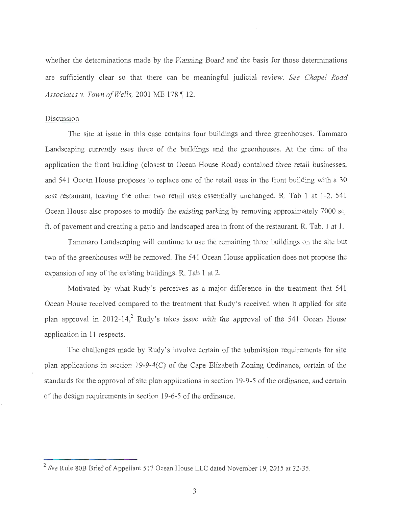whether the determinations made by the Planning Board and the basis for those determinations are sufficiently clear so that there can be meaningful judicial review. *See Chapel Road Associates v. Town of Wells, 2001 ME 178* ¶ 12.

# Discussion

The site at issue in this case contains four buildings and three greenhouses. Tammaro Landscaping currently uses three of the buildings and the greenhouses. At the time of the application the front building (closest to Ocean House Road) contained three retail businesses, and 541 Ocean House proposes to replace one of the retail uses in the front building with a 30 seat restaurant, leaving the other two retail uses essentially unchanged. R. Tab 1 at 1-2. 541 Ocean House also proposes to modify the existing parking by removing approximately 7000 sq. ft. of pavement and creating a patio and landscaped area in front of the restaurant. R. Tab. 1 at 1.

Tammaro Landscaping will continue to use the remaining three buildings on the site but two of the greenhouses will be removed. The 541 Ocean House application does not propose the expansion of any of the existing buildings. R. Tab 1 at 2.

Motivated by what Rudy's perceives as a major difference in the treatment that 541 Ocean House received compared to the treatment that Rudy's received when it applied for site plan approval in 2012-14,<sup>2</sup> Rudy's takes issue with the approval of the 541 Ocean House application in 11 respects.

The challenges made by Rudy's involve certain of the submission requirements for site plan applications in section 19-9-4(C) of the Cape Elizabeth Zoning Ordinance, certain of the standards for the approval of site plan applications in section 19-9-5 of the ordinance, and certain of the design requirements in section 19-6-5 of the ordinance.

<sup>2</sup>*See* Rule 80B Brief of Appellant 517 Ocean House LLC dated November 19, 2015 at 32-35.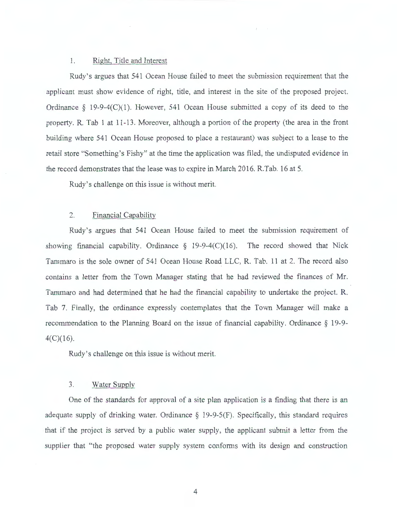#### 1. Right, Title and Interest

Rudy 's argues that 541 Ocean House failed to meet the submission requirement that the applicant must show evidence of right, title, and interest in the site of the proposed project. Ordinance  $\S$  19-9-4(C)(1). However, 541 Ocean House submitted a copy of its deed to the property. R. Tab 1 at 11 -13. Moreover, although a portion of the property (the area in the front building where 541 Ocean House proposed to place a restaurant) was subject to a lease to the retail store "Something's Fishy" at the time the application was filed, the undisputed evidence in the record demonstrates that the lease was to expire in March 2016. R.Tab. 16 at 5.

Rudy 's challenge on this issue is without merit.

#### 2. Financial Capability

Rudy's argues that 541 Ocean House failed to meet the submission requirement of showing financial capability. Ordinance  $\S$  19-9-4(C)(16). The record showed that Nick Tammaro is the sole owner of 541 Ocean House Road LLC, R. Tab. 11 at 2. The record also contains a letter from the Town Manager stating that he had reviewed the finances of Mr. Tammaro and had determined that he had the financial capability to undertake the project. R. Tab 7. Finally, the ordinance expressly contemplates that the Town Manager will make a recommendation to the Planning Board on the issue of financial capability. Ordinance § 19-9  $4(C)(16)$ .

Rudy's challenge on this issue is without merit.

## 3. Water Supply

One of the standards for approval of a site plan application is a finding that there is an adequate supply of drinking water. Ordinance  $\S$  19-9-5(F). Specifically, this standard requires that if the project is served by a public water supply, the applicant submit a letter from the supplier that "the proposed water supply system conforms with its design and construction

4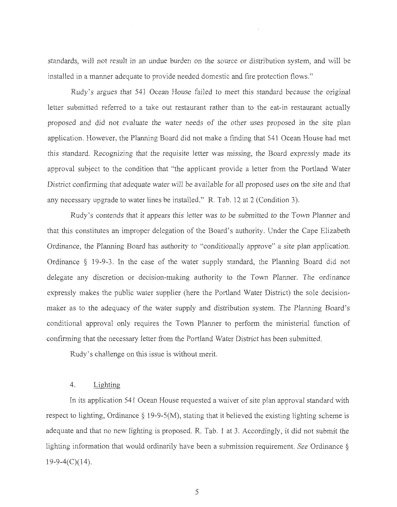standards, will not result in an undue burden on the source or distribution system, and will be installed in a manner adequate to provide needed domestic and fire protection flows."

Rudy's argues that 541 Ocean House failed to meet this standard because the original letter submitted referred to a take out restaurant rather than to the eat-in restaurant actually proposed and did not evaluate the water needs of the other uses proposed in the site plan application. However, the Planning Board did not make a finding that 541 Ocean House had met this standard. Recognizing that the requisite letter was missing, the Board expressly made its approval subject to the condition that "the applicant provide a letter from the Portland Water District confirming that adequate water will be available for all proposed uses on the site and that any necessary upgrade to water lines be installed." R. Tab. 12 at 2 (Condition 3).

Rudy's contends that it appears this letter was to be submitted to the Town Planner and that this constitutes an improper delegation of the Board's authority. Under the Cape Elizabeth Ordinance, the Planning Board has authority to "conditionally approve" a site plan application. Ordinance § 19-9-3. In the case of the water supply standard, the Planning Board did not delegate any discretion or decision-making authority to the Town Planner. The ordinance expressly makes the public water supplier (here the Portland Water District) the sole decisionmaker as to the adequacy of the water supply and distribution system. The Planning Board's conditional approval only requires the Town Planner to perform the ministerial function of confirming that the necessary letter from the Portland Water District has been submitted.

Rudy's challenge on this issue is without merit.

## 4. Lighting

In its application 541 Ocean House requested a waiver of site plan approval standard with respect to lighting, Ordinance  $\S$  19-9-5(M), stating that it believed the existing lighting scheme is adequate and that no new lighting is proposed. R. Tab. 1 at 3. Accordingly, it did not submit the lighting information that would ordinarily have been a submission requirement. *See* Ordinance §  $19-9-4(C)(14)$ .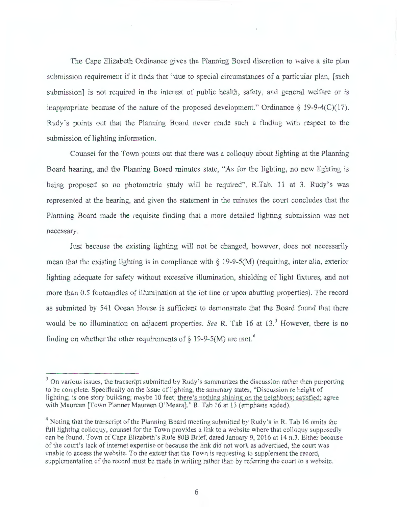The Cape Elizabeth Ordinance gives the Planning Board discretion to waive a site plan submission requirement if it finds that "due to special circumstances of a particular plan, [such submission] is not required in the interest of public health, safety, and general welfare or is inappropriate because of the nature of the proposed development." Ordinance  $\S$  19-9-4(C)(17). Rudy 's points out that the Planning Board never made such a finding with respect to the submission of lighting information.

Counsel for the Town points out that there was a colloquy about lighting at the Planning Board hearing, and the Planning Board minutes state, "As for the lighting, no new lighting is being proposed so no photometric study will be required". R.Tab. 11 at 3. Rudy's was represented at the hearing, and given the statement in the minutes the court concludes that the Planning Board made the requisite finding that a more detailed lighting submission was not necessary.

Just because the existing lighting will not be changed, however, does not necessarily mean that the existing lighting is in compliance with  $\S$  19-9-5(M) (requiring, inter alia, exterior lighting adequate for safety without excessive illumination, shielding of light fixtures, and not more than 0.5 footcandles of illumination at the lot line or upon abutting properties). The record as submitted by 541 Ocean House is sufficient to demonstrate that the Board found that there would be no illumination on adjacent properties. *See* R. Tab 16 at 13.<sup>3</sup> However, there is no finding on whether the other requirements of  $\S$  19-9-5(M) are met.<sup>4</sup>

 $3$  On various issues, the transcript submitted by Rudy's summarizes the discussion rather than purporting to be complete. Specifically on the issue of lighting, the summary states, "Discussion re height of lighting; is one story building; maybe 10 feet; there's nothing shining on the neighbors; satisfied; agree with Maureen [Town Planner Maureen O'Meara]." R. Tab 16 at 13 (emphasis added).

<sup>&</sup>lt;sup>4</sup> Noting that the transcript of the Planning Board meeting submitted by Rudy's in R. Tab 16 omits the full lighting colloquy, counsel for the Town provides a link to a website where that colloquy supposedly can be found. Town of Cape Elizabeth's Rule 80B Brief, dated January 9, 2016 at 14 n.3. Either because of the court's lack of internet expertise or because the link did not work as advertised, the court was unable to access the website. To the extent that the Town is requesting to supplement the record, supplementation of the record must be made in writing rather than by referring the court to a website .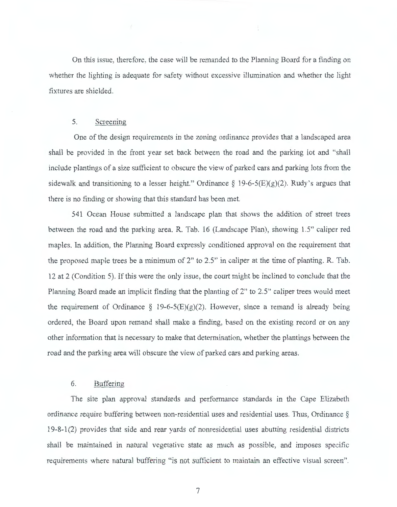On this issue, therefore, the case will be remanded to the Planning Board for a finding on whether the lighting is adequate for safety without excessive illumination and whether the light fixtures are shielded.

#### 5. Screening

One of the design requirements in the zoning ordinance provides that a landscaped area shall be provided in the front year set back between the road and the parking lot and "shall include plantings of a size sufficient to obscure the view of parked cars and parking lots from the sidewalk and transitioning to a lesser height." Ordinance  $\S$  19-6-5(E)(g)(2). Rudy's argues that there is no finding or showing that this standard has been met.

541 Ocean House submitted a landscape plan that shows the addition of street trees between the road and the parking area. R. Tab. 16 (Landscape Plan), showing 1.5" caliper red maples. In addition, the Planning Board expressly conditioned approval on the requirement that the proposed maple trees be a minimum of 2" to 2.5" in caliper at the time of planting. R. Tab. 12 at 2 (Condition 5). Ifthis were the only issue, the court might be inclined to conclude that the Planning Board made an implicit finding that the planting of 2" to 2.5" caliper trees would meet the requirement of Ordinance § 19-6-5(E)(g)(2). However, since a remand is already being ordered, the Board upon remand shall make a finding, based on the existing record or on any other information that is necessary to make that determination, whether the plantings between the road and the parking area will obscure the view of parked cars and parking areas.

### 6. Buffering

The site plan approval standards and performance standards in the Cape Elizabeth ordinance require buffering between non-residential uses and residential uses. Thus, Ordinance § 19-8-1 (2) provides that side and rear yards of nonresidential uses abutting residential districts shall be maintained in natural vegetative state as much as possible, and imposes specific requirements where natural buffering "is not sufficient to maintain an effective visual screen".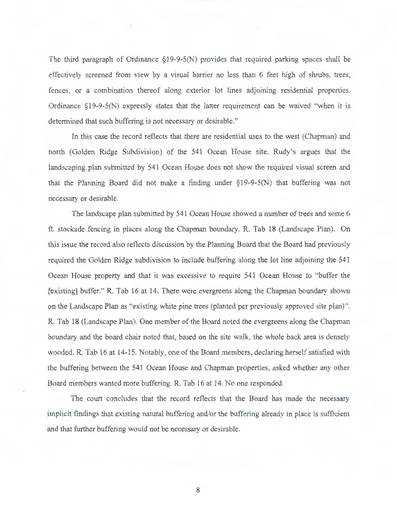The third paragraph of Ordinance *§*19-9-5(N) provides that required parking spaces shall be effectively screened from view by a visual barrier no less than 6 feet high of shrubs, trees, fences, or a combination thereof along exterior lot lines adjoining residential properties. Ordinance § 19-9-5(N) expressly states that the latter requirement can be waived "when it is determined that such buffering is not necessary or desirable."

 $f^-$ 

In this case the record reflects that there are residential uses to the west (Chapman) and north (Golden Ridge Subdivision) of the 541 Ocean House site. Rudy's argues that the landscaping plan submitted by 541 Ocean House does not show the required visual screen and that the Planning Board did not make a finding under *§*19-9-5(N) that buffering was not necessary or desirable.

The landscape plan submitted by 541 Ocean House showed a number of trees and some 6 ft. stockade fencing in places along the Chapman boundary. R. Tab 18 (Landscape Plan). On this issue the record also reflects discussion by the Planning Board that the Board had previously required the Golden Ridge subdivision to include buffering along the lot line adjoining the 541 Ocean House property and that it was excessive to require 541 Ocean House to "buffer the [existing] buffer." R. Tab 16 at 14. There were evergreens along the Chapman boundary shown on the Landscape Plan as "existing white pine trees (planted per previously approved site plan)". R. Tab 18 (Landscape Plan). One member of the Board noted the evergreens along the Chapman boundary and the board chair noted that, based on the site walk, the whole back area is densely wooded. R. Tab 16 at 14-15. Notably, one of the Board members, declaring herself satisfied with the buffering between the 541 Ocean House and Chapman properties, asked whether any other Board members wanted more buffering. R. Tab 16 at 14. No one responded.

The court concludes that the record reflects that the Board has made the necessary implicit findings that existing natural buffering and/or the buffering already in place is sufficient and that further buffering would not be necessary or desirable.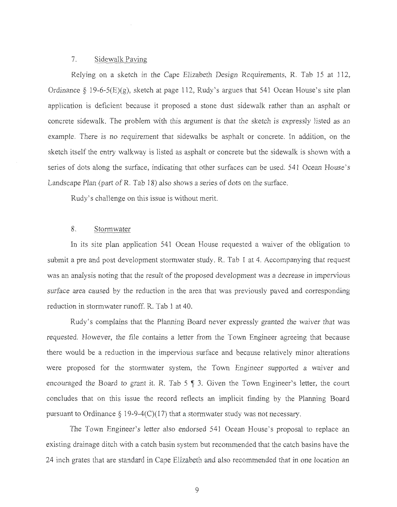#### 7. Sidewalk Paving

Relying on a sketch in the Cape Elizabeth Design Requirements, R. Tab 15 at 112, Ordinance § 19-6-5(E)(g), sketch at page 112, Rudy's argues that 541 Ocean House's site plan application is deficient because it proposed a stone dust sidewalk rather than an asphalt or concrete sidewalk. The problem with this argument is that the sketch is expressly listed as an example. There is no requirement that sidewalks be asphalt or concrete. In addition, on the sketch itself the entry walkway is listed as asphalt or concrete but the sidewalk is shown with a series of dots along the surface, indicating that other surfaces can be used. 541 Ocean House's Landscape Plan (part of R. Tab 18) also shows a series of dots on the surface.

Rudy's challenge on this issue is without merit.

#### 8. Stormwater

In its site plan application 541 Ocean House requested a waiver of the obligation to submit a pre and post development stormwater study. R. Tab 1 at 4. Accompanying that request was an analysis noting that the result of the proposed development was a decrease in impervious surface area caused by the reduction in the area that was previously paved and corresponding reduction in stormwater runoff. R. Tab 1 at 40.

Rudy's complains that the Planning Board never expressly granted the waiver that was requested. However, the file contains a letter from the Town Engineer agreeing that because there would be a reduction in the impervious surface and because relatively minor alterations were proposed for the stormwater system, the Town Engineer supported a waiver and encouraged the Board to grant it. R. Tab  $5 \text{ } \frac{1}{3}$ . Given the Town Engineer's letter, the court concludes that on this issue the record reflects an implicit finding by the Planning Board pursuant to Ordinance  $\S 19-9-4(C)(17)$  that a stormwater study was not necessary.

The Town Engineer's letter also endorsed 541 Ocean House's proposal to replace an existing drainage ditch with a catch basin system but recommended that the catch basins have the 24 inch grates that are standard in Cape Elizabeth and also recommended that in one location an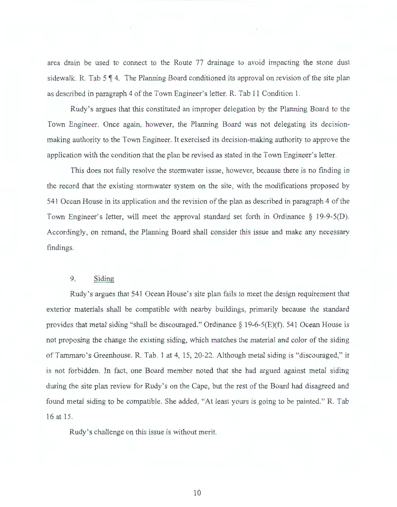area drain be used to connect to the Route 77 drainage to avoid impacting the stone dust sidewalk. R. Tab  $5 \nparallel 4$ . The Planning Board conditioned its approval on revision of the site plan as described in paragraph 4 of the Town Engineer's letter. R. Tab 11 Condition 1.

Rudy's argues that this constituted an improper delegation by the Planning Board to the Town Engineer. Once again, however, the Planning Board was not delegating its decisionmaking authority to the Town Engineer. It exercised its decision-making authority to approve the application with the condition that the plan be revised as stated in the Town Engineer's letter.

This does not fully resolve the stormwater issue, however, because there is no finding in the record that the existing stormwater system on the site, with the modifications proposed by 541 Ocean House in its application and the revision of the plan as described in paragraph 4 of the Town Engineer's letter, will meet the approval standard set forth in Ordinance § 19-9-5(D). Accordingly, on remand, the Planning Board shall consider this issue and make any necessary findings.

# 9. Siding

Rudy's argues that 541 Ocean House's site plan fails to meet the design requirement that exterior materials shall be compatible with nearby buildings, primarily because the standard provides that metal siding "shall be discouraged." Ordinance§ 19-6-5(E)(f). 541 Ocean House is not proposing the change the existing siding, which matches the material and color of the siding of Tammara's Greenhouse. R. Tab. 1 at 4, 15, 20-22. Although metal siding is "discouraged," it is not forbidden. In fact, one Board member noted that she had argued against metal siding during the site plan review for Rudy's on the Cape, but the rest of the Board had disagreed and found metal siding to be compatible. She added, "At least yours is going to be painted." R. Tab 16 at 15.

Rudy's challenge on this issue is without merit.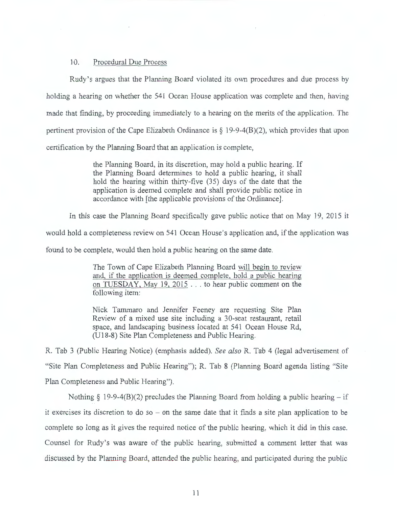### 10. Procedural Due Process

Rudy's argues that the Planning Board violated its own procedures and due process by holding a hearing on whether the 541 Ocean House application was complete and then, having made that finding, by proceeding immediately to a hearing on the merits of the application. The pertinent provision of the Cape Elizabeth Ordinance is  $\S$  19-9-4(B)(2), which provides that upon certification by the Planning Board that an application is complete,

> the Planning Board, in its discretion, may hold a public hearing. If the Planning Board determines to hold a public hearing, it shall hold the hearing within thirty-five (35) days of the date that the application is deemed complete and shall provide public notice in accordance with [the applicable provisions of the Ordinance].

In this case the Planning Board specifically gave public notice that on May 19, 2015 it

would hold a completeness review on 541 Ocean House's application and, if the application was

found to be complete, would then hold a public hearing on the same date.

The Town of Cape Elizabeth Planning Board will begin to review and, if the application is deemed complete, hold a public hearing on TUESDAY, May 19, 2015 ... to hear public comment on the following item:

Nick Tammaro and Jennifer Feeney are requesting Site Plan Review of a mixed use site including a 30-seat restaurant, retail space, and landscaping business located at 541 Ocean House Rd, (U 18-8) Site Plan Completeness and Public Hearing.

R. Tab 3 (Public Hearing Notice) (emphasis added). *See also* R. Tab 4 (legal advertisement of "Site Plan Completeness and Public Hearing"); R. Tab 8 (Planning Board agenda listing "Site Plan Completeness and Public Hearing").

Nothing  $\S$  19-9-4(B)(2) precludes the Planning Board from holding a public hearing – if it exercises its discretion to do so - on the same date that it finds a site plan application to be complete so long as it gives the required notice of the public hearing, which it did in this case. Counsel for Rudy's was aware of the public hearing, submitted a comment letter that was discussed by the Planning Board, attended the public hearing, and participated during the public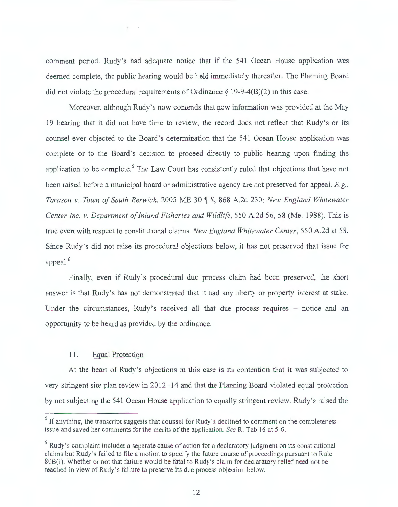comment period. Rudy's had adequate notice that if the 541 Ocean House application was deemed complete, the public hearing would be held immediately thereafter. The Planning Board did not violate the procedural requirements of Ordinance  $\S$  19-9-4(B)(2) in this case.

Moreover, although Rudy 's now contends that new information was provided at the May 19 hearing that it did not have time to review, the record does not reflect that Rudy 's or its counsel ever objected to the Board's determination that the 541 Ocean House application was complete or to the Board's decision to proceed directly to public hearing upon finding the application to be complete.<sup>5</sup> The Law Court has consistently ruled that objections that have not been raised before a municipal board or administrative agency are not preserved for appeal. *E.g. , Tarason v. Town of South Berwick,* 2005 ME 30 ~ 8, 868 A.2d 230; *New England Whitewater Center Inc. v. Department of Inland Fisheries and Wildlife,* 550 A.2d 56, 58 (Me. 1988). This is true even with respect to constitutional claims. *New England Whitewater Center,* 550 A.2d at 58. Since Rudy's did not raise its procedural objections below, it has not preserved that issue for appeal.<sup>6</sup>

Finally, even if Rudy's procedural due process claim had been preserved, the short answer is that Rudy's has not demonstrated that it had any liberty or property interest at stake. Under the circumstances, Rudy's received all that due process requires - notice and an opportunity to be heard as provided by the ordinance.

# 11. Equal Protection

At the heart of Rudy's objections in this case is its contention that it was subjected to very stringent site plan review in 2012 -14 and that the Planning Board violated equal protection by not subjecting the 541 Ocean House application to equally stringent review. Rudy 's raised the

<sup>&</sup>lt;sup>5</sup> If anything, the transcript suggests that counsel for Rudy's declined to comment on the completeness issue and saved her comments for the merits of the application. *See* R. Tab 16 at 5-6.

 $6$  Rudy's complaint includes a separate cause of action for a declaratory judgment on its constitutional claims but Rudy 's failed to file a motion to specify the future course of proceedings pursuant to Rule 80B(i). Whether or not that failure would be fatal to Rudy 's claim for declaratory relief need not be reached in view of Rudy's failure to preserve its due process objection below.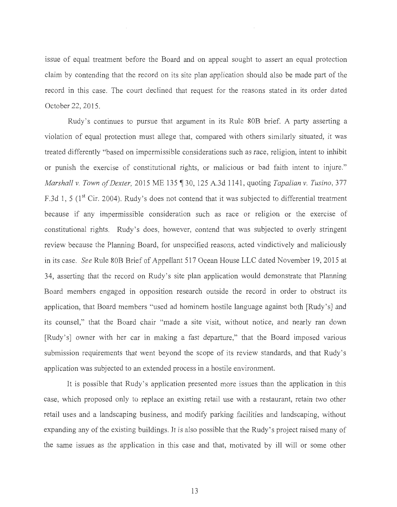issue of equal treatment before the Board and on appeal sought to assert an equal protection claim by contending that the record on its site plan application should also be made part of the record in this case. The court declined that request for the reasons stated in its order dated October 22, 2015.

Rudy's continues to pursue that argument in its Rule 80B brief. A party asserting a violation of equal protection must allege that, compared with others similarly situated, it was treated differently "based on impermissible considerations such as race, religion, intent to inhibit or punish the exercise of constitutional rights, or malicious or bad faith intent to injure." *Marshall v. Town of Dexter,* 2015 ME 135 ¶ 30, 125 A.3d 1141, quoting *Tapalian v. Tusino*, 377 F.3d 1, 5 (1<sup>st</sup> Cir. 2004). Rudy's does not contend that it was subjected to differential treatment because if any impermissible consideration such as race or religion or the exercise of constitutional rights. Rudy's does, however, contend that was subjected to overly stringent review because the Planning Board, for unspecified reasons, acted vindictively and maliciously in its case. *See* Rule 80B Brief of Appellant 517 Ocean House LLC dated November 19, 2015 at 34, asserting that the record on Rudy's site plan application would demonstrate that Planning Board members engaged in opposition research outside the record in order to obstruct its application, that Board members "used ad hominem hostile language against both [Rudy's] and its counsel," that the Board chair "made a site visit, without notice, and nearly ran down [Rudy's] owner with her car in making a fast departure," that the Board imposed various submission requirements that went beyond the scope of its review standards, and that Rudy's application was subjected to an extended process in a hostile environment.

It is possible that Rudy's application presented more issues than the application in this case, which proposed only to replace an existing retail use with a restaurant, retain two other retail uses and a landscaping business, and modify parking facilities and landscaping, without expanding any of the existing buildings. It is also possible that the Rudy's project raised many of the same issues as the application in this case and that, motivated by ill will or some other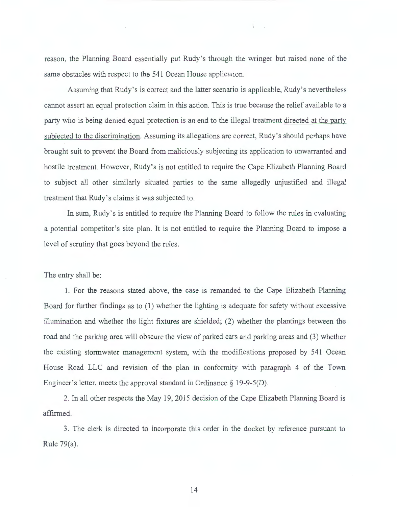reason, the Planning Board essentially put Rudy 's through the wringer but raised none of the same obstacles with respect to the 541 Ocean House application.

 $\mathbf{U}$ 

Assuming that Rudy's is correct and the latter scenario is applicable, Rudy's nevertheless cannot assert an equal protection claim in this action. This is true because the relief available to a party who is being denied equal protection is an end to the illegal treatment directed at the party subjected to the discrimination. Assuming its allegations are correct, Rudy 's should perhaps have brought suit to prevent the Board from maliciously subjecting its application to unwarranted and hostile treatment. However, Rudy 's is not entitled to require the Cape Elizabeth Planning Board to subject all other similarly situated parties to the same allegedly unjustified and illegal treatment that Rudy's claims it was subjected to.

In sum, Rudy 's is entitled to require the Planning Board to follow the rules in evaluating a potential competitor's site plan. It is not entitled to require the Planning Board to impose a level of scrutiny that goes beyond the rules.

The entry shall be:

1. For the reasons stated above, the case is remanded to the Cape Elizabeth Planning Board for further findings as to (1) whether the lighting is adequate for safety without excessive illumination and whether the light fixtures are shielded; (2) whether the plantings between the road and the parking area will obscure the view of parked cars and parking areas and (3) whether the existing stormwater management system, with the modifications proposed by 541 Ocean House Road LLC and revision of the plan in conformity with paragraph 4 of the Town Engineer's letter, meets the approval standard in Ordinance  $\S$  19-9-5(D).

2. In all other respects the May 19, 2015 decision of the Cape Elizabeth Planning Board is affirmed.

3. The clerk is directed to incorporate this order in the docket by reference pursuant to Rule 79(a).